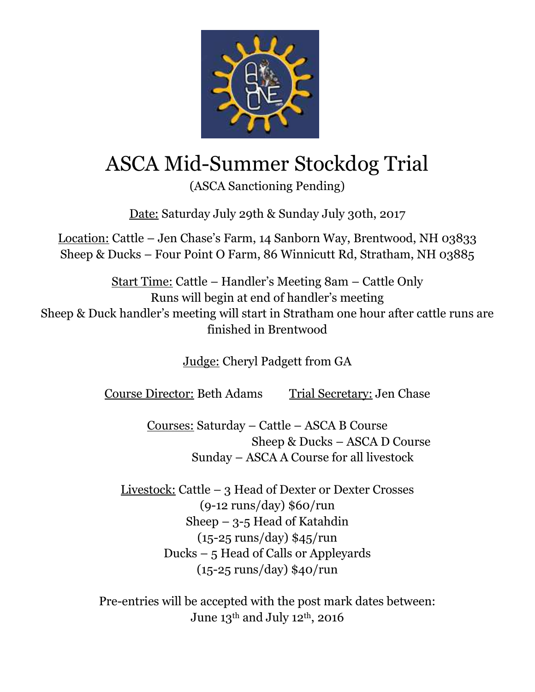

## ASCA Mid-Summer Stockdog Trial

(ASCA Sanctioning Pending)

Date: Saturday July 29th & Sunday July 30th, 2017

Location: Cattle – Jen Chase's Farm, 14 Sanborn Way, Brentwood, NH 03833 Sheep & Ducks – Four Point O Farm, 86 Winnicutt Rd, Stratham, NH 03885

Start Time: Cattle – Handler's Meeting 8am – Cattle Only Runs will begin at end of handler's meeting Sheep & Duck handler's meeting will start in Stratham one hour after cattle runs are finished in Brentwood

Judge: Cheryl Padgett from GA

Course Director: Beth Adams Trial Secretary: Jen Chase

Courses: Saturday – Cattle – ASCA B Course Sheep & Ducks – ASCA D Course Sunday – ASCA A Course for all livestock

Livestock: Cattle – 3 Head of Dexter or Dexter Crosses (9-12 runs/day) \$60/run Sheep – 3-5 Head of Katahdin (15-25 runs/day) \$45/run Ducks – 5 Head of Calls or Appleyards (15-25 runs/day) \$40/run

Pre-entries will be accepted with the post mark dates between: June 13th and July 12th, 2016